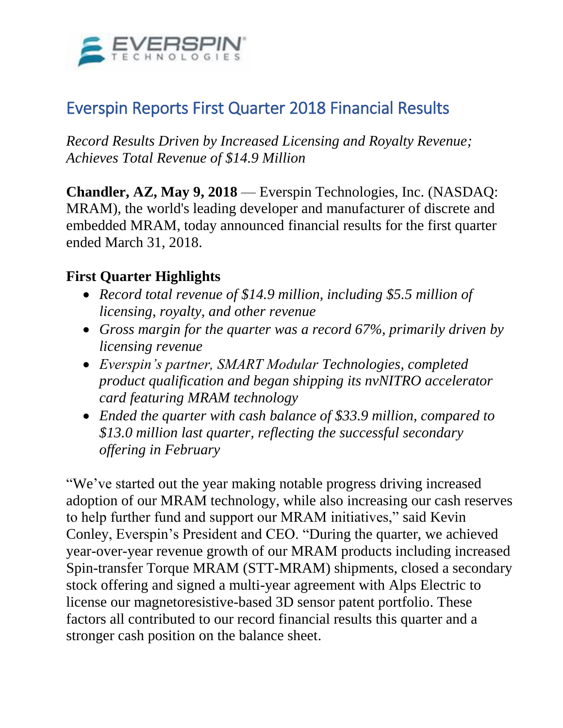

# Everspin Reports First Quarter 2018 Financial Results

*Record Results Driven by Increased Licensing and Royalty Revenue; Achieves Total Revenue of \$14.9 Million*

**Chandler, AZ, May 9, 2018** — Everspin Technologies, Inc. (NASDAQ: MRAM), the world's leading developer and manufacturer of discrete and embedded MRAM, today announced financial results for the first quarter ended March 31, 2018.

### **First Quarter Highlights**

- *Record total revenue of \$14.9 million, including \$5.5 million of licensing, royalty, and other revenue*
- *Gross margin for the quarter was a record 67%, primarily driven by licensing revenue*
- *Everspin's partner, SMART Modular Technologies, completed product qualification and began shipping its nvNITRO accelerator card featuring MRAM technology*
- *Ended the quarter with cash balance of \$33.9 million, compared to \$13.0 million last quarter, reflecting the successful secondary offering in February*

"We've started out the year making notable progress driving increased adoption of our MRAM technology, while also increasing our cash reserves to help further fund and support our MRAM initiatives," said Kevin Conley, Everspin's President and CEO. "During the quarter, we achieved year-over-year revenue growth of our MRAM products including increased Spin-transfer Torque MRAM (STT-MRAM) shipments, closed a secondary stock offering and signed a multi-year agreement with Alps Electric to license our magnetoresistive-based 3D sensor patent portfolio. These factors all contributed to our record financial results this quarter and a stronger cash position on the balance sheet.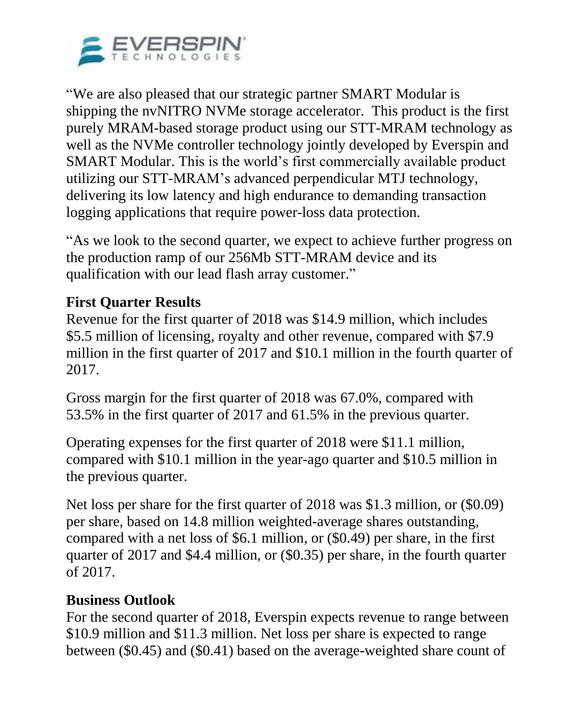

"We are also pleased that our strategic partner SMART Modular is shipping the nvNITRO NVMe storage accelerator. This product is the first purely MRAM-based storage product using our STT-MRAM technology as well as the NVMe controller technology jointly developed by Everspin and SMART Modular. This is the world's first commercially available product utilizing our STT-MRAM's advanced perpendicular MTJ technology, delivering its low latency and high endurance to demanding transaction logging applications that require power-loss data protection.

"As we look to the second quarter, we expect to achieve further progress on the production ramp of our 256Mb STT-MRAM device and its qualification with our lead flash array customer."

### **First Quarter Results**

Revenue for the first quarter of 2018 was \$14.9 million, which includes \$5.5 million of licensing, royalty and other revenue, compared with \$7.9 million in the first quarter of 2017 and \$10.1 million in the fourth quarter of 2017.

Gross margin for the first quarter of 2018 was 67.0%, compared with 53.5% in the first quarter of 2017 and 61.5% in the previous quarter.

Operating expenses for the first quarter of 2018 were \$11.1 million, compared with \$10.1 million in the year-ago quarter and \$10.5 million in the previous quarter.

Net loss per share for the first quarter of 2018 was \$1.3 million, or (\$0.09) per share, based on 14.8 million weighted-average shares outstanding, compared with a net loss of \$6.1 million, or (\$0.49) per share, in the first quarter of 2017 and \$4.4 million, or (\$0.35) per share, in the fourth quarter of 2017.

### **Business Outlook**

For the second quarter of 2018, Everspin expects revenue to range between \$10.9 million and \$11.3 million. Net loss per share is expected to range between (\$0.45) and (\$0.41) based on the average-weighted share count of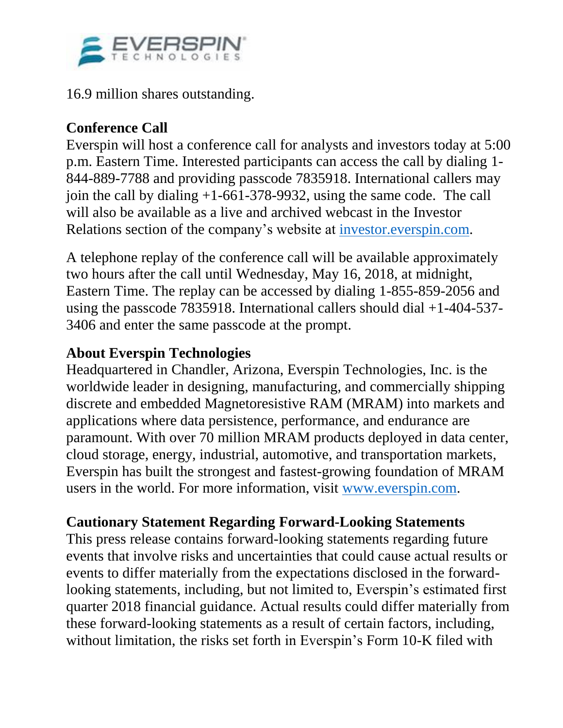

16.9 million shares outstanding.

# **Conference Call**

Everspin will host a conference call for analysts and investors today at 5:00 p.m. Eastern Time. Interested participants can access the call by dialing 1- 844-889-7788 and providing passcode 7835918. International callers may join the call by dialing +1-661-378-9932, using the same code. The call will also be available as a live and archived webcast in the Investor Relations section of the company's website at [investor.everspin.com.](https://www.globenewswire.com/Tracker?data=Yslc05KKXn_FmUYl36klSjgjxc3kXl8-_nFy37vxurQuaaFvgVt3yjkYUn5sW--3khZoRB_N8Jf1p7bqwXbXbxLqujuhKgAwhO_cglugVb9pWqn4BIeoTVFb0aP4qrpMvBpYc4-GhtfBmGjMlCjE85OPNQ3Q6I9v8a6BYlOTp4J5VpydCDV6JD0Ryvsy3_Ne687-cDMg1DFHWY6MFvcK2Quy0M-gho88pdecRHG9casEZs8IjU0XDwj-pynU9fyZ6L6BBcJqLI65defz5tM3Kx20hBH7n2MnQEm5gBp37wvTaESs_bGS5RuoXa4VrwZROyl68Hw51O_o-tlwTtwNW24WrYNZCrIaqNKuwUQ7yDBHpXE0_13B4vInpe_WY_Wv96gwk5BoNpgKzEkpS6HMbMpe6H60d1a726nWLQJRtNNy448WT1lmakPD1-0avdFfEeuA346UgTmP7cjErDse6iFljbuK_hPF7W49J2X461V7iLx9D2XyZgvfsdy2V-Hf)

A telephone replay of the conference call will be available approximately two hours after the call until Wednesday, May 16, 2018, at midnight, Eastern Time. The replay can be accessed by dialing 1-855-859-2056 and using the passcode 7835918. International callers should dial +1-404-537- 3406 and enter the same passcode at the prompt.

## **About Everspin Technologies**

Headquartered in Chandler, Arizona, Everspin Technologies, Inc. is the worldwide leader in designing, manufacturing, and commercially shipping discrete and embedded Magnetoresistive RAM (MRAM) into markets and applications where data persistence, performance, and endurance are paramount. With over 70 million MRAM products deployed in data center, cloud storage, energy, industrial, automotive, and transportation markets, Everspin has built the strongest and fastest-growing foundation of MRAM users in the world. For more information, visit [www.everspin.com.](https://www.globenewswire.com/Tracker?data=3cq9OXBXEUFeXcdKqv9XwLM1mOWI9ebBq4LDI_kg9EOfdSREdsqN_qReoXD-VydFjS6qjVIOI2oYRWJlsBEn7w==)

# **Cautionary Statement Regarding Forward-Looking Statements**

This press release contains forward-looking statements regarding future events that involve risks and uncertainties that could cause actual results or events to differ materially from the expectations disclosed in the forwardlooking statements, including, but not limited to, Everspin's estimated first quarter 2018 financial guidance. Actual results could differ materially from these forward-looking statements as a result of certain factors, including, without limitation, the risks set forth in Everspin's Form 10-K filed with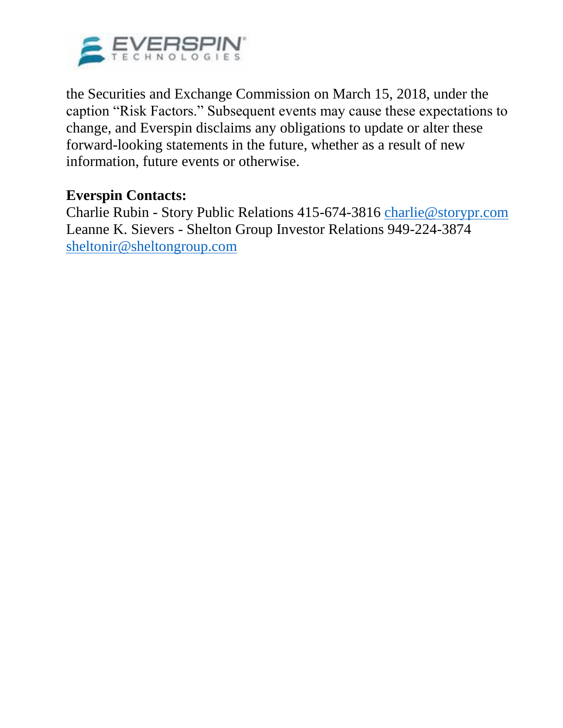

the Securities and Exchange Commission on March 15, 2018, under the caption "Risk Factors." Subsequent events may cause these expectations to change, and Everspin disclaims any obligations to update or alter these forward-looking statements in the future, whether as a result of new information, future events or otherwise.

#### **Everspin Contacts:**

Charlie Rubin - Story Public Relations 415-674-3816 [charlie@storypr.com](mailto:charlie@storypr.com) Leanne K. Sievers - Shelton Group Investor Relations 949-224-3874 [sheltonir@sheltongroup.com](mailto:sheltonir@sheltongroup.com)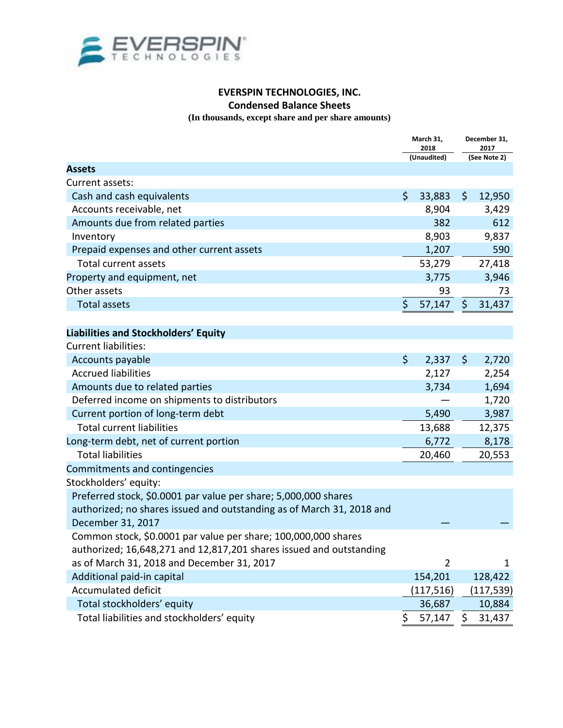

#### **EVERSPIN TECHNOLOGIES, INC. Condensed Balance Sheets**

**(In thousands, except share and per share amounts)**

|                                                                       | March 31,<br>2018<br>(Unaudited) |                | December 31,<br>2017<br>(See Note 2) |              |
|-----------------------------------------------------------------------|----------------------------------|----------------|--------------------------------------|--------------|
|                                                                       |                                  |                |                                      |              |
| <b>Assets</b>                                                         |                                  |                |                                      |              |
| Current assets:                                                       |                                  |                |                                      |              |
| Cash and cash equivalents                                             | $\zeta$                          | 33,883         | \$                                   | 12,950       |
| Accounts receivable, net                                              |                                  | 8,904          |                                      | 3,429        |
| Amounts due from related parties                                      |                                  | 382            |                                      | 612          |
| Inventory                                                             |                                  | 8,903          |                                      | 9,837        |
| Prepaid expenses and other current assets                             |                                  | 1,207          |                                      | 590          |
| <b>Total current assets</b>                                           |                                  | 53,279         |                                      | 27,418       |
| Property and equipment, net                                           |                                  | 3,775          |                                      | 3,946        |
| Other assets                                                          |                                  | 93             |                                      | 73           |
| <b>Total assets</b>                                                   | \$                               | 57,147         | \$                                   | 31,437       |
|                                                                       |                                  |                |                                      |              |
| Liabilities and Stockholders' Equity                                  |                                  |                |                                      |              |
| <b>Current liabilities:</b>                                           |                                  |                |                                      |              |
| Accounts payable                                                      | $\zeta$                          | 2,337          | \$                                   | 2,720        |
| <b>Accrued liabilities</b>                                            |                                  | 2,127          |                                      | 2,254        |
| Amounts due to related parties                                        |                                  | 3,734          |                                      | 1,694        |
| Deferred income on shipments to distributors                          |                                  |                |                                      | 1,720        |
| Current portion of long-term debt                                     |                                  | 5,490          |                                      | 3,987        |
| <b>Total current liabilities</b>                                      |                                  | 13,688         |                                      | 12,375       |
| Long-term debt, net of current portion                                |                                  | 6,772          |                                      | 8,178        |
| <b>Total liabilities</b>                                              |                                  | 20,460         |                                      | 20,553       |
| Commitments and contingencies                                         |                                  |                |                                      |              |
| Stockholders' equity:                                                 |                                  |                |                                      |              |
| Preferred stock, \$0.0001 par value per share; 5,000,000 shares       |                                  |                |                                      |              |
| authorized; no shares issued and outstanding as of March 31, 2018 and |                                  |                |                                      |              |
| December 31, 2017                                                     |                                  |                |                                      |              |
| Common stock, \$0.0001 par value per share; 100,000,000 shares        |                                  |                |                                      |              |
| authorized; 16,648,271 and 12,817,201 shares issued and outstanding   |                                  |                |                                      |              |
| as of March 31, 2018 and December 31, 2017                            |                                  | $\overline{2}$ |                                      | $\mathbf{1}$ |
| Additional paid-in capital                                            |                                  | 154,201        |                                      | 128,422      |
| Accumulated deficit                                                   |                                  | (117, 516)     |                                      | (117,539)    |
| Total stockholders' equity                                            |                                  | 36,687         |                                      | 10,884       |
| Total liabilities and stockholders' equity                            | \$                               | 57,147         | \$                                   | 31,437       |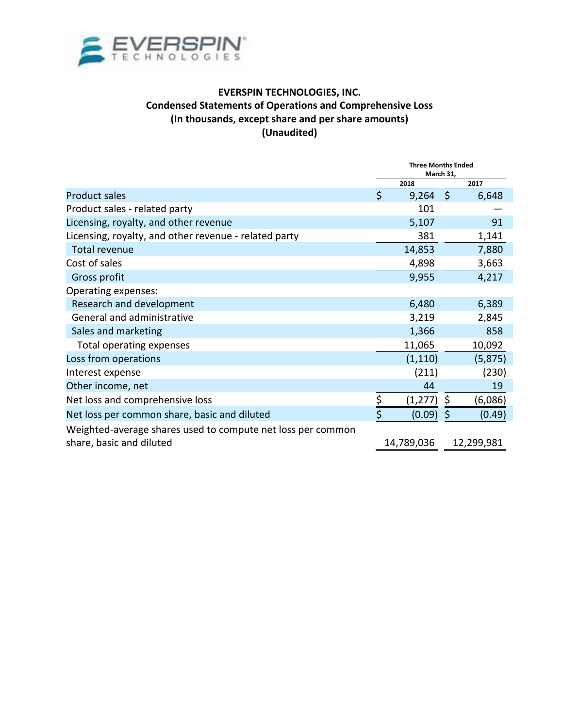

#### **EVERSPIN TECHNOLOGIES, INC. Condensed Statements of Operations and Comprehensive Loss (In thousands, except share and per share amounts) (Unaudited)**

|                                                                                         | <b>Three Months Ended</b><br>March 31, |            |         |            |
|-----------------------------------------------------------------------------------------|----------------------------------------|------------|---------|------------|
|                                                                                         |                                        | 2018       |         | 2017       |
| <b>Product sales</b>                                                                    | $\mathsf{\dot{S}}$                     | 9,264      | $\zeta$ | 6,648      |
| Product sales - related party                                                           |                                        | 101        |         |            |
| Licensing, royalty, and other revenue                                                   |                                        | 5,107      |         | 91         |
| Licensing, royalty, and other revenue - related party                                   |                                        | 381        |         | 1,141      |
| <b>Total revenue</b>                                                                    |                                        | 14,853     |         | 7,880      |
| Cost of sales                                                                           |                                        | 4,898      |         | 3,663      |
| Gross profit                                                                            |                                        | 9,955      |         | 4,217      |
| Operating expenses:                                                                     |                                        |            |         |            |
| Research and development                                                                |                                        | 6,480      |         | 6,389      |
| General and administrative                                                              |                                        | 3,219      |         | 2,845      |
| Sales and marketing                                                                     |                                        | 1,366      |         | 858        |
| Total operating expenses                                                                |                                        | 11,065     |         | 10,092     |
| Loss from operations                                                                    |                                        | (1, 110)   |         | (5, 875)   |
| Interest expense                                                                        |                                        | (211)      |         | (230)      |
| Other income, net                                                                       |                                        | 44         |         | 19         |
| Net loss and comprehensive loss                                                         | $\frac{5}{1}$                          | (1, 277)   | \$      | (6,086)    |
| Net loss per common share, basic and diluted                                            | \$                                     | (0.09)     | \$      | (0.49)     |
| Weighted-average shares used to compute net loss per common<br>share, basic and diluted |                                        | 14,789,036 |         | 12,299,981 |